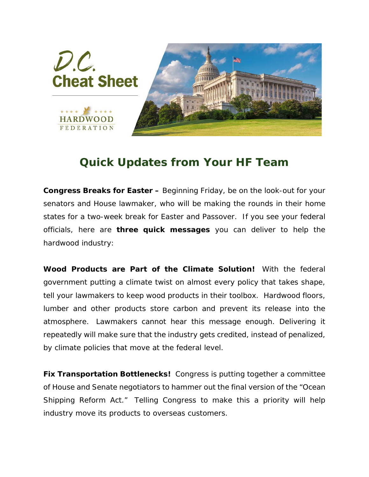

## *Quick Updates from Your HF Team*

**Congress Breaks for Easter –** Beginning Friday, be on the look-out for your senators and House lawmaker, who will be making the rounds in their home states for a two-week break for Easter and Passover. If you see your federal officials, here are *three quick messages* you can deliver to help the hardwood industry:

*Wood Products are Part of the Climate Solution!* With the federal government putting a climate twist on almost every policy that takes shape, tell your lawmakers to keep wood products in their toolbox. Hardwood floors, lumber and other products store carbon and prevent its release into the atmosphere. *Lawmakers cannot hear this message enough*. Delivering it repeatedly will make sure that the industry gets credited, instead of penalized, by climate policies that move at the federal level.

**Fix Transportation Bottlenecks!** Congress is putting together a committee of House and Senate negotiators to hammer out the final version of the "Ocean Shipping Reform Act." Telling Congress to make this a priority will help industry move its products to overseas customers.